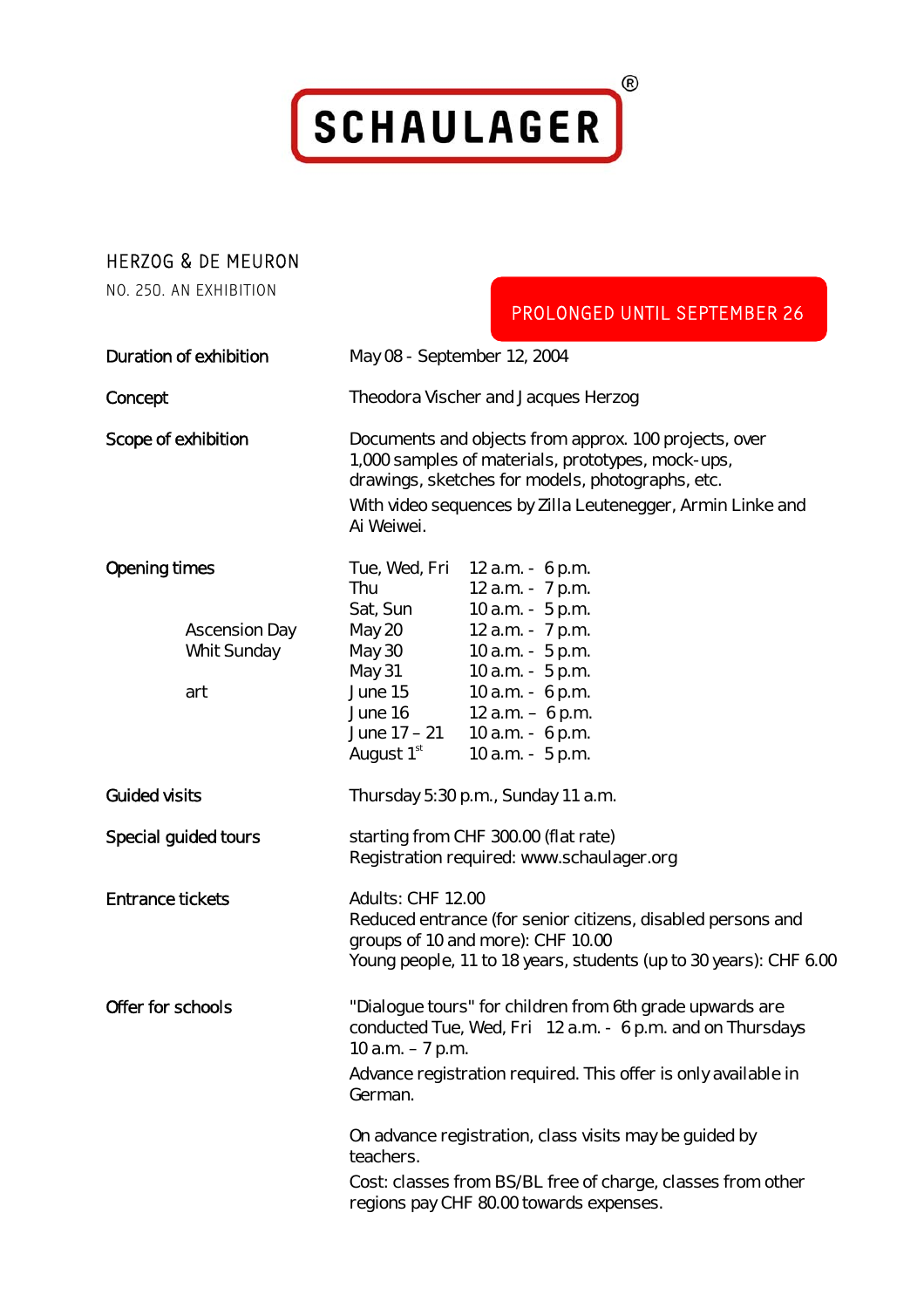

## Herzog & de Meuron

no. 250. an exhibition

|                                                                    | PROLONGED UNTIL SEPTEMBER 26                                                                                                                                                                                                                                                                                                                                                                              |
|--------------------------------------------------------------------|-----------------------------------------------------------------------------------------------------------------------------------------------------------------------------------------------------------------------------------------------------------------------------------------------------------------------------------------------------------------------------------------------------------|
| Duration of exhibition                                             | May 08 - September 12, 2004                                                                                                                                                                                                                                                                                                                                                                               |
| Concept                                                            | Theodora Vischer and Jacques Herzog                                                                                                                                                                                                                                                                                                                                                                       |
| Scope of exhibition                                                | Documents and objects from approx. 100 projects, over<br>1,000 samples of materials, prototypes, mock-ups,<br>drawings, sketches for models, photographs, etc.<br>With video sequences by Zilla Leutenegger, Armin Linke and<br>Ai Weiwei.                                                                                                                                                                |
| <b>Opening times</b><br><b>Ascension Day</b><br>Whit Sunday<br>art | Tue, Wed, Fri 12 a.m. - 6 p.m.<br>12 a.m. - 7 p.m.<br>Thu<br>10 a.m. - 5 p.m.<br>Sat, Sun<br>May 20<br>12 a.m. - 7 p.m.<br>10 a.m. - 5 p.m.<br>May 30<br>10 a.m. - 5 p.m.<br>May 31<br>June 15<br>10 a.m. - 6 p.m.<br>12 $a.m. - 6 p.m.$<br>June 16<br>June $17 - 21$ 10 a.m. - 6 p.m.<br>August 1 <sup>st</sup><br>10 a.m. - 5 p.m.                                                                      |
| <b>Guided visits</b>                                               | Thursday 5:30 p.m., Sunday 11 a.m.                                                                                                                                                                                                                                                                                                                                                                        |
| Special guided tours                                               | starting from CHF 300.00 (flat rate)<br>Registration required: www.schaulager.org                                                                                                                                                                                                                                                                                                                         |
| <b>Entrance tickets</b>                                            | Adults: CHF 12.00<br>Reduced entrance (for senior citizens, disabled persons and<br>groups of 10 and more): CHF 10.00<br>Young people, 11 to 18 years, students (up to 30 years): CHF 6.00                                                                                                                                                                                                                |
| Offer for schools                                                  | "Dialogue tours" for children from 6th grade upwards are<br>conducted Tue, Wed, Fri 12 a.m. - 6 p.m. and on Thursdays<br>10 $a.m. - 7 p.m.$<br>Advance registration required. This offer is only available in<br>German.<br>On advance registration, class visits may be guided by<br>teachers.<br>Cost: classes from BS/BL free of charge, classes from other<br>regions pay CHF 80.00 towards expenses. |